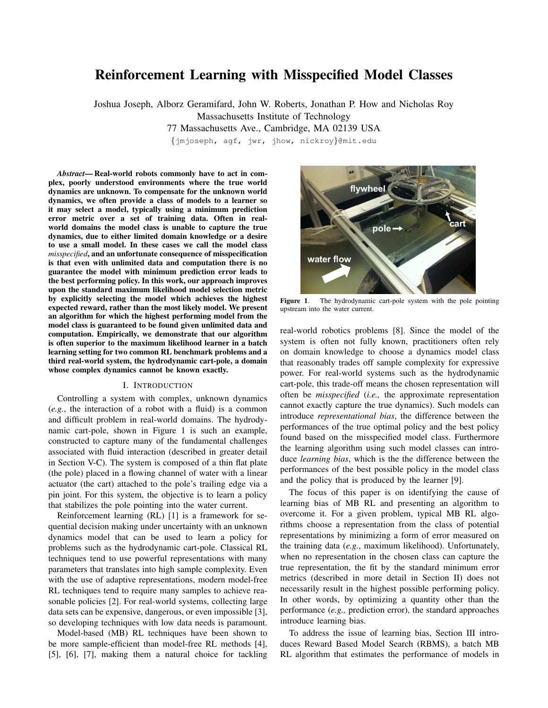# Reinforcement Learning with Misspecified Model Classes

Joshua Joseph, Alborz Geramifard, John W. Roberts, Jonathan P. How and Nicholas Roy Massachusetts Institute of Technology

77 Massachusetts Ave., Cambridge, MA 02139 USA

{jmjoseph, agf, jwr, jhow, nickroy}@mit.edu

*Abstract*— Real-world robots commonly have to act in complex, poorly understood environments where the true world dynamics are unknown. To compensate for the unknown world dynamics, we often provide a class of models to a learner so it may select a model, typically using a minimum prediction error metric over a set of training data. Often in realworld domains the model class is unable to capture the true dynamics, due to either limited domain knowledge or a desire to use a small model. In these cases we call the model class *misspecified*, and an unfortunate consequence of misspecification is that even with unlimited data and computation there is no guarantee the model with minimum prediction error leads to the best performing policy. In this work, our approach improves upon the standard maximum likelihood model selection metric by explicitly selecting the model which achieves the highest expected reward, rather than the most likely model. We present an algorithm for which the highest performing model from the model class is guaranteed to be found given unlimited data and computation. Empirically, we demonstrate that our algorithm is often superior to the maximum likelihood learner in a batch learning setting for two common RL benchmark problems and a third real-world system, the hydrodynamic cart-pole, a domain whose complex dynamics cannot be known exactly.

### I. INTRODUCTION

Controlling a system with complex, unknown dynamics (*e.g.*, the interaction of a robot with a fluid) is a common and difficult problem in real-world domains. The hydrodynamic cart-pole, shown in Figure 1 is such an example, constructed to capture many of the fundamental challenges associated with fluid interaction (described in greater detail in Section V-C). The system is composed of a thin flat plate (the pole) placed in a flowing channel of water with a linear actuator (the cart) attached to the pole's trailing edge via a pin joint. For this system, the objective is to learn a policy that stabilizes the pole pointing into the water current.

Reinforcement learning (RL) [1] is a framework for sequential decision making under uncertainty with an unknown dynamics model that can be used to learn a policy for problems such as the hydrodynamic cart-pole. Classical RL techniques tend to use powerful representations with many parameters that translates into high sample complexity. Even with the use of adaptive representations, modern model-free RL techniques tend to require many samples to achieve reasonable policies [2]. For real-world systems, collecting large data sets can be expensive, dangerous, or even impossible [3], so developing techniques with low data needs is paramount.

Model-based (MB) RL techniques have been shown to be more sample-efficient than model-free RL methods [4], [5], [6], [7], making them a natural choice for tackling



Figure 1. The hydrodynamic cart-pole system with the pole pointing upstream into the water current.

real-world robotics problems [8]. Since the model of the system is often not fully known, practitioners often rely on domain knowledge to choose a dynamics model class that reasonably trades off sample complexity for expressive power. For real-world systems such as the hydrodynamic cart-pole, this trade-off means the chosen representation will often be *misspecified* (*i.e.,* the approximate representation cannot exactly capture the true dynamics). Such models can introduce *representational bias*, the difference between the performances of the true optimal policy and the best policy found based on the misspecified model class. Furthermore the learning algorithm using such model classes can introduce *learning bias*, which is the the difference between the performances of the best possible policy in the model class and the policy that is produced by the learner [9].

The focus of this paper is on identifying the cause of learning bias of MB RL and presenting an algorithm to overcome it. For a given problem, typical MB RL algorithms choose a representation from the class of potential representations by minimizing a form of error measured on the training data (*e.g.*, maximum likelihood). Unfortunately, when no representation in the chosen class can capture the true representation, the fit by the standard minimum error metrics (described in more detail in Section II) does not necessarily result in the highest possible performing policy. In other words, by optimizing a quantity other than the performance (*e.g.,* prediction error), the standard approaches introduce learning bias.

To address the issue of learning bias, Section III introduces Reward Based Model Search (RBMS), a batch MB RL algorithm that estimates the performance of models in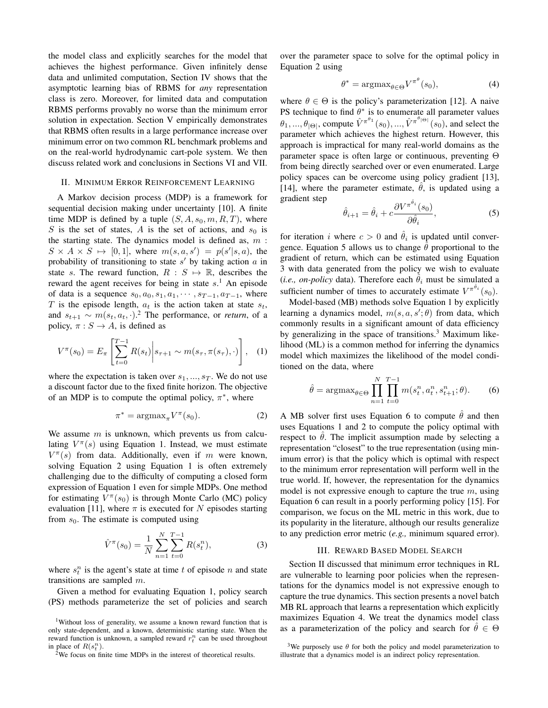the model class and explicitly searches for the model that achieves the highest performance. Given infinitely dense data and unlimited computation, Section IV shows that the asymptotic learning bias of RBMS for *any* representation class is zero. Moreover, for limited data and computation RBMS performs provably no worse than the minimum error solution in expectation. Section V empirically demonstrates that RBMS often results in a large performance increase over minimum error on two common RL benchmark problems and on the real-world hydrodynamic cart-pole system. We then discuss related work and conclusions in Sections VI and VII.

# II. MINIMUM ERROR REINFORCEMENT LEARNING

A Markov decision process (MDP) is a framework for sequential decision making under uncertainty [10]. A finite time MDP is defined by a tuple  $(S, A, s_0, m, R, T)$ , where S is the set of states, A is the set of actions, and  $s_0$  is the starting state. The dynamics model is defined as,  $m$ :  $S \times A \times S \mapsto [0, 1]$ , where  $m(s, a, s') = p(s'|s, a)$ , the probability of transitioning to state  $s'$  by taking action  $a$  in state s. The reward function,  $R : S \mapsto \mathbb{R}$ , describes the reward the agent receives for being in state  $s$ .<sup>1</sup> An episode of data is a sequence  $s_0, a_0, s_1, a_1, \cdots, s_{T-1}, a_{T-1}$ , where T is the episode length,  $a_t$  is the action taken at state  $s_t$ , and  $s_{t+1} \sim m(s_t, a_t, \cdot)$ .<sup>2</sup> The performance, or *return*, of a policy,  $\pi : S \to A$ , is defined as

$$
V^{\pi}(s_0) = E_{\pi} \left[ \sum_{t=0}^{T-1} R(s_t) \middle| s_{\tau+1} \sim m(s_{\tau}, \pi(s_{\tau}), \cdot) \right], \quad (1)
$$

where the expectation is taken over  $s_1, ..., s_T$ . We do not use a discount factor due to the fixed finite horizon. The objective of an MDP is to compute the optimal policy,  $\pi^*$ , where

$$
\pi^* = \operatorname{argmax}_{\pi} V^{\pi}(s_0). \tag{2}
$$

We assume  $m$  is unknown, which prevents us from calculating  $V^{\pi}(s)$  using Equation 1. Instead, we must estimate  $V^{\pi}(s)$  from data. Additionally, even if m were known, solving Equation 2 using Equation 1 is often extremely challenging due to the difficulty of computing a closed form expression of Equation 1 even for simple MDPs. One method for estimating  $V^{\pi}(s_0)$  is through Monte Carlo (MC) policy evaluation [11], where  $\pi$  is executed for N episodes starting from  $s_0$ . The estimate is computed using

$$
\hat{V}^{\pi}(s_0) = \frac{1}{N} \sum_{n=1}^{N} \sum_{t=0}^{T-1} R(s_t^n),
$$
\n(3)

where  $s_t^n$  is the agent's state at time t of episode n and state transitions are sampled m.

Given a method for evaluating Equation 1, policy search (PS) methods parameterize the set of policies and search over the parameter space to solve for the optimal policy in Equation 2 using

$$
\theta^* = \operatorname{argmax}_{\theta \in \Theta} V^{\pi^{\theta}}(s_0),\tag{4}
$$

where  $\theta \in \Theta$  is the policy's parameterization [12]. A naive PS technique to find  $\theta^*$  is to enumerate all parameter values  $\theta_1, ..., \theta_{|\Theta|}$ , compute  $\hat{V}^{\pi^{\theta_1}}(s_0), ..., \hat{V}^{\pi^{\theta_{|\Theta|}}}(s_0)$ , and select the parameter which achieves the highest return. However, this approach is impractical for many real-world domains as the parameter space is often large or continuous, preventing Θ from being directly searched over or even enumerated. Large policy spaces can be overcome using policy gradient [13], [14], where the parameter estimate,  $\hat{\theta}$ , is updated using a gradient step  $\hat{\theta}$ 

$$
\hat{\theta}_{i+1} = \hat{\theta}_i + c \frac{\partial V^{\pi^{\theta_i}}(s_0)}{\partial \hat{\theta}_i},
$$
\n(5)

for iteration i where  $c > 0$  and  $\hat{\theta}_i$  is updated until convergence. Equation 5 allows us to change  $\hat{\theta}$  proportional to the gradient of return, which can be estimated using Equation 3 with data generated from the policy we wish to evaluate (*i.e., on-policy* data). Therefore each  $\hat{\theta}_i$  must be simulated a sufficient number of times to accurately estimate  $V^{\pi^{\hat{\theta}_i}}(s_0)$ .

Model-based (MB) methods solve Equation 1 by explicitly learning a dynamics model,  $m(s, a, s'; \theta)$  from data, which commonly results in a significant amount of data efficiency by generalizing in the space of transitions.<sup>3</sup> Maximum likelihood (ML) is a common method for inferring the dynamics model which maximizes the likelihood of the model conditioned on the data, where

$$
\hat{\theta} = \operatorname{argmax}_{\theta \in \Theta} \prod_{n=1}^{N} \prod_{t=0}^{T-1} m(s_t^n, a_t^n, s_{t+1}^n; \theta).
$$
 (6)

A MB solver first uses Equation 6 to compute  $\hat{\theta}$  and then uses Equations 1 and 2 to compute the policy optimal with respect to  $\hat{\theta}$ . The implicit assumption made by selecting a representation "closest" to the true representation (using minimum error) is that the policy which is optimal with respect to the minimum error representation will perform well in the true world. If, however, the representation for the dynamics model is not expressive enough to capture the true  $m$ , using Equation 6 can result in a poorly performing policy [15]. For comparison, we focus on the ML metric in this work, due to its popularity in the literature, although our results generalize to any prediction error metric (*e.g.,* minimum squared error).

# III. REWARD BASED MODEL SEARCH

Section II discussed that minimum error techniques in RL are vulnerable to learning poor policies when the representations for the dynamics model is not expressive enough to capture the true dynamics. This section presents a novel batch MB RL approach that learns a representation which explicitly maximizes Equation 4. We treat the dynamics model class as a parameterization of the policy and search for  $\hat{\theta} \in \Theta$ 

<sup>1</sup>Without loss of generality, we assume a known reward function that is only state-dependent, and a known, deterministic starting state. When the reward function is unknown, a sampled reward  $r_t^n$  can be used throughout in place of  $R(s_t^n)$ .

<sup>2</sup>We focus on finite time MDPs in the interest of theoretical results.

<sup>&</sup>lt;sup>3</sup>We purposely use  $\theta$  for both the policy and model parameterization to illustrate that a dynamics model is an indirect policy representation.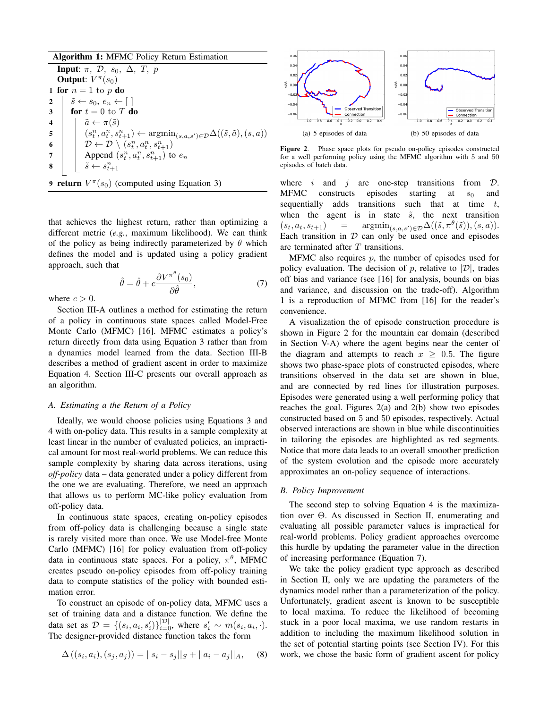Algorithm 1: MFMC Policy Return Estimation Input:  $\pi$ ,  $\mathcal{D}$ ,  $s_0$ ,  $\Delta$ ,  $T$ ,  $p$ **Output:**  $V^{\pi}(s_0)$ 1 for  $n = 1$  to p do 2  $\vert \tilde{s} \leftarrow s_0, e_n \leftarrow \lceil \cdot \rceil$  $3 \int$  for  $t = 0$  to T do 4  $\hat{a} \leftarrow \pi(\tilde{s})$ 5  $(s_t^n, a_t^n, s_{t+1}^n) \leftarrow \text{argmin}_{(s,a,s') \in \mathcal{D}} \Delta((\tilde{s}, \tilde{a}), (s, a))$  $\begin{array}{|c|c|c|}\hline \textbf{6} & D \end{array} \left| \begin{array}{c} \textbf{D} \setminus (s_t^n,a_t^n,s_{t+1}^n) \ \hline \end{array} \right.$ 7 | Append  $(s_t^n, a_t^n, s_{t+1}^n)$  to  $e_n$ 8  $\begin{matrix} 1 & \tilde{s} & \leftarrow s_{t+1}^n \end{matrix}$ 9 return  $V^{\pi}(s_0)$  (computed using Equation 3)

that achieves the highest return, rather than optimizing a different metric (*e.g.*, maximum likelihood). We can think of the policy as being indirectly parameterized by  $\theta$  which defines the model and is updated using a policy gradient approach, such that

$$
\hat{\theta} = \hat{\theta} + c \frac{\partial V^{\pi^{\theta}}(s_0)}{\partial \hat{\theta}},
$$
\n(7)

where  $c > 0$ .

Section III-A outlines a method for estimating the return of a policy in continuous state spaces called Model-Free Monte Carlo (MFMC) [16]. MFMC estimates a policy's return directly from data using Equation 3 rather than from a dynamics model learned from the data. Section III-B describes a method of gradient ascent in order to maximize Equation 4. Section III-C presents our overall approach as an algorithm.

#### *A. Estimating a the Return of a Policy*

Ideally, we would choose policies using Equations 3 and 4 with on-policy data. This results in a sample complexity at least linear in the number of evaluated policies, an impractical amount for most real-world problems. We can reduce this sample complexity by sharing data across iterations, using *off-policy* data – data generated under a policy different from the one we are evaluating. Therefore, we need an approach that allows us to perform MC-like policy evaluation from off-policy data.

In continuous state spaces, creating on-policy episodes from off-policy data is challenging because a single state is rarely visited more than once. We use Model-free Monte Carlo (MFMC) [16] for policy evaluation from off-policy data in continuous state spaces. For a policy,  $\pi^{\theta}$ , MFMC creates pseudo on-policy episodes from off-policy training data to compute statistics of the policy with bounded estimation error.

To construct an episode of on-policy data, MFMC uses a set of training data and a distance function. We define the data set as  $\mathcal{D} = \{(s_i, a_i, s'_i)\}_{i=0}^{|\mathcal{D}|}$ , where  $s'_i \sim m(s_i, a_i, \cdot)$ . The designer-provided distance function takes the form

$$
\Delta((s_i, a_i), (s_j, a_j)) = ||s_i - s_j||_S + ||a_i - a_j||_A, \quad (8)
$$



Figure 2. Phase space plots for pseudo on-policy episodes constructed for a well performing policy using the MFMC algorithm with 5 and 50 episodes of batch data.

where i and j are one-step transitions from  $\mathcal{D}$ . MFMC constructs episodes starting at  $s_0$  and sequentially adds transitions such that at time  $t$ , when the agent is in state  $\tilde{s}$ , the next transition  $(s_t, a_t, s_{t+1})$  =  $argmin_{(s,a,s') \in \mathcal{D}} \Delta((\tilde{s}, \pi^{\theta}(\tilde{s})), (s, a)).$ Each transition in  $D$  can only be used once and episodes are terminated after T transitions.

MFMC also requires  $p$ , the number of episodes used for policy evaluation. The decision of p, relative to  $|\mathcal{D}|$ , trades off bias and variance (see [16] for analysis, bounds on bias and variance, and discussion on the trade-off). Algorithm 1 is a reproduction of MFMC from [16] for the reader's convenience.

A visualization the of episode construction procedure is shown in Figure 2 for the mountain car domain (described in Section V-A) where the agent begins near the center of the diagram and attempts to reach  $x \geq 0.5$ . The figure shows two phase-space plots of constructed episodes, where transitions observed in the data set are shown in blue, and are connected by red lines for illustration purposes. Episodes were generated using a well performing policy that reaches the goal. Figures  $2(a)$  and  $2(b)$  show two episodes constructed based on 5 and 50 episodes, respectively. Actual observed interactions are shown in blue while discontinuities in tailoring the episodes are highlighted as red segments. Notice that more data leads to an overall smoother prediction of the system evolution and the episode more accurately approximates an on-policy sequence of interactions.

#### *B. Policy Improvement*

The second step to solving Equation 4 is the maximization over Θ. As discussed in Section II, enumerating and evaluating all possible parameter values is impractical for real-world problems. Policy gradient approaches overcome this hurdle by updating the parameter value in the direction of increasing performance (Equation 7).

We take the policy gradient type approach as described in Section II, only we are updating the parameters of the dynamics model rather than a parameterization of the policy. Unfortunately, gradient ascent is known to be susceptible to local maxima. To reduce the likelihood of becoming stuck in a poor local maxima, we use random restarts in addition to including the maximum likelihood solution in the set of potential starting points (see Section IV). For this work, we chose the basic form of gradient ascent for policy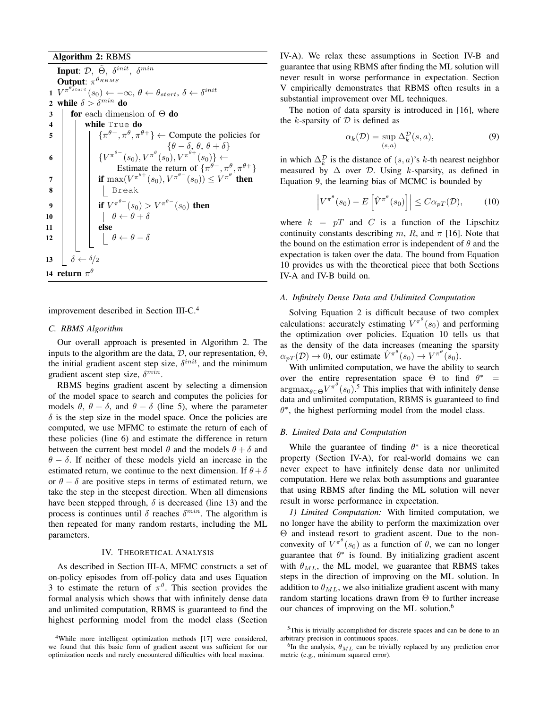Algorithm 2: RBMS

Input:  $\mathcal{D}, \ \tilde{\Theta}, \ \delta^{init}, \ \delta^{min}$ **Output:**  $\pi^{\theta_{RBMS}}$  $1 \ \ V^{\pi^{\theta \tilde{start}}}(s_0) \leftarrow -\infty, \ \theta \leftarrow \theta_{start}, \ \delta \leftarrow \delta^{init}$ 2 while  $\delta > \delta^{min}$  do  $3$  for each dimension of  $\Theta$  do 4 While True do 5  $\left| \begin{array}{c} \end{array} \right| \left| \begin{array}{c} \{\pi^{\theta-}, \pi^{\theta}, \pi^{\theta+}\} \leftarrow \end{array} \right|$  Compute the policies for  $\{\theta - \delta, \theta, \theta + \delta\}$  $\begin{array}{|c|c|c|c|}\hline \textbf{6} & & \end{array} \left| \quad \right. \left\{ \begin{matrix} {{V^{\pi}}}^{\theta-}(s_{0}),{{V^{\pi}}}^{\theta}}(s_{0}),{{V^{\pi}}}^{\theta+}(s_{0}) \end{matrix} \right\} \leftarrow$ Estimate the return of  $\{\pi^{\theta-}, \pi^{\theta}, \pi^{\theta+}\}\$ 7 | | if  $\max(V^{\pi^{\theta+}}(s_0),V^{\pi^{\theta-}}(s_0))\leq V^{\pi^{\theta}}$  then 8 | | | Break  $\quad \ \ \, \bm{9} \quad \quad \ \ \, \bm{\mid} \quad \ \ \, \bm{\mid} \quad \mathbf{\it if} \,\, V^{\pi^{\theta+}}(s_0) > V^{\pi^{\theta-}}(s_0) \,\, \mathbf{then}$ 10  $\begin{array}{|c|c|c|c|c|}\n\hline\n\text{10} & \text{ } & \text{ } & \theta \leftarrow \theta + \delta\n\end{array}$  $11$  else 12  $\begin{vmatrix} \cdot & \cdot & \cdot \\ \cdot & \cdot & \cdot \\ \cdot & \cdot & \cdot \end{vmatrix}$   $\theta \leftarrow \theta - \delta$ 13  $\delta \leftarrow \delta/2$ 14 return  $\pi^{\theta}$ 

improvement described in Section III-C.<sup>4</sup>

# *C. RBMS Algorithm*

Our overall approach is presented in Algorithm 2. The inputs to the algorithm are the data,  $D$ , our representation,  $\Theta$ , the initial gradient ascent step size,  $\delta^{init}$ , and the minimum gradient ascent step size,  $\delta^{min}$ .

RBMS begins gradient ascent by selecting a dimension of the model space to search and computes the policies for models  $\theta$ ,  $\theta + \delta$ , and  $\theta - \delta$  (line 5), where the parameter  $\delta$  is the step size in the model space. Once the policies are computed, we use MFMC to estimate the return of each of these policies (line 6) and estimate the difference in return between the current best model  $\theta$  and the models  $\theta + \delta$  and  $\theta - \delta$ . If neither of these models yield an increase in the estimated return, we continue to the next dimension. If  $\theta + \delta$ or  $\theta - \delta$  are positive steps in terms of estimated return, we take the step in the steepest direction. When all dimensions have been stepped through,  $\delta$  is decreased (line 13) and the process is continues until  $\delta$  reaches  $\delta^{min}$ . The algorithm is then repeated for many random restarts, including the ML parameters.

#### IV. THEORETICAL ANALYSIS

As described in Section III-A, MFMC constructs a set of on-policy episodes from off-policy data and uses Equation 3 to estimate the return of  $\pi^{\theta}$ . This section provides the formal analysis which shows that with infinitely dense data and unlimited computation, RBMS is guaranteed to find the highest performing model from the model class (Section IV-A). We relax these assumptions in Section IV-B and guarantee that using RBMS after finding the ML solution will never result in worse performance in expectation. Section V empirically demonstrates that RBMS often results in a substantial improvement over ML techniques.

The notion of data sparsity is introduced in [16], where the k-sparsity of  $D$  is defined as

$$
\alpha_k(\mathcal{D}) = \sup_{(s,a)} \Delta_k^{\mathcal{D}}(s,a),\tag{9}
$$

in which  $\Delta_k^{\mathcal{D}}$  is the distance of  $(s, a)$ 's k-th nearest neighbor measured by  $\Delta$  over  $\mathcal D$ . Using k-sparsity, as defined in Equation 9, the learning bias of MCMC is bounded by

$$
\left|V^{\pi^{\theta}}(s_0) - E\left[\hat{V}^{\pi^{\theta}}(s_0)\right]\right| \leq C\alpha_{pT}(\mathcal{D}),\tag{10}
$$

where  $k = pT$  and C is a function of the Lipschitz continuity constants describing m, R, and  $\pi$  [16]. Note that the bound on the estimation error is independent of  $\theta$  and the expectation is taken over the data. The bound from Equation 10 provides us with the theoretical piece that both Sections IV-A and IV-B build on.

# *A. Infinitely Dense Data and Unlimited Computation*

Solving Equation 2 is difficult because of two complex calculations: accurately estimating  $V^{\pi^\theta}(s_0)$  and performing the optimization over policies. Equation 10 tells us that as the density of the data increases (meaning the sparsity  $\alpha_{pT}(\mathcal{D}) \to 0$ , our estimate  $\hat{V}^{\pi^{\theta}}(s_0) \to V^{\pi^{\theta}}(s_0)$ .

With unlimited computation, we have the ability to search over the entire representation space  $\Theta$  to find  $\theta^*$  =  $\arg \max_{\theta \in \Theta} V^{\pi^{\theta}}(s_0)$ .<sup>5</sup> This implies that with infinitely dense data and unlimited computation, RBMS is guaranteed to find  $\theta^*$ , the highest performing model from the model class.

## *B. Limited Data and Computation*

While the guarantee of finding  $\theta^*$  is a nice theoretical property (Section IV-A), for real-world domains we can never expect to have infinitely dense data nor unlimited computation. Here we relax both assumptions and guarantee that using RBMS after finding the ML solution will never result in worse performance in expectation.

*1) Limited Computation:* With limited computation, we no longer have the ability to perform the maximization over Θ and instead resort to gradient ascent. Due to the nonconvexity of  $V^{\pi^{\theta}}(s_0)$  as a function of  $\theta$ , we can no longer guarantee that  $\theta^*$  is found. By initializing gradient ascent with  $\theta_{ML}$ , the ML model, we guarantee that RBMS takes steps in the direction of improving on the ML solution. In addition to  $\theta_{ML}$ , we also initialize gradient ascent with many random starting locations drawn from  $\Theta$  to further increase our chances of improving on the ML solution.<sup>6</sup>

<sup>4</sup>While more intelligent optimization methods [17] were considered, we found that this basic form of gradient ascent was sufficient for our optimization needs and rarely encountered difficulties with local maxima.

<sup>5</sup>This is trivially accomplished for discrete spaces and can be done to an arbitrary precision in continuous spaces.

<sup>&</sup>lt;sup>6</sup>In the analysis,  $\theta_{ML}$  can be trivially replaced by any prediction error metric (e.g., minimum squared error).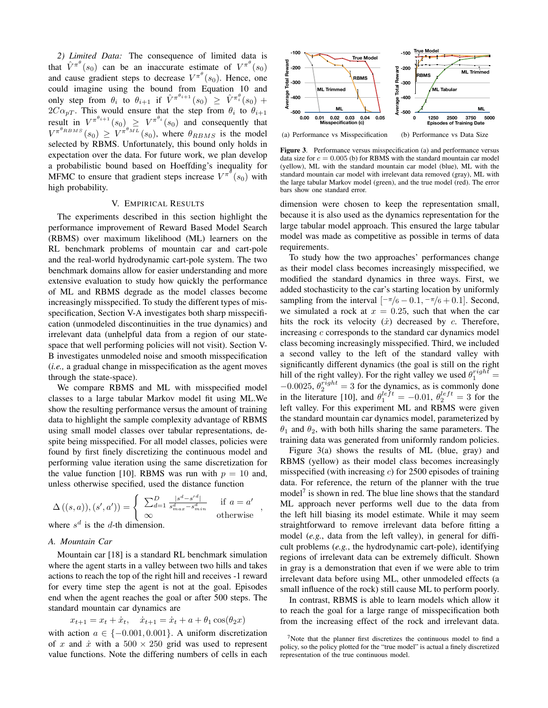*2) Limited Data:* The consequence of limited data is that  $\hat{V}^{\pi^{\theta}}(s_0)$  can be an inaccurate estimate of  $V^{\pi^{\theta}}(s_0)$ and cause gradient steps to decrease  $V^{\pi^{\theta}}(s_0)$ . Hence, one could imagine using the bound from Equation 10 and only step from  $\theta_i$  to  $\theta_{i+1}$  if  $\hat{V}^{\pi^{\theta_{i+1}}}(s_0) \geq \hat{V}^{\pi_i^{\theta}}(s_0) +$  $2C\alpha_{pT}$ . This would ensure that the step from  $\theta_i$  to  $\theta_{i+1}$ result in  $V^{\pi^{\theta_{i+1}}}(s_0) \geq V^{\pi^{\theta_i}}(s_0)$  and consequently that  $V^{\pi^{\theta}RBMS}(s_0) \geq V^{\pi^{\theta}ML}(s_0)$ , where  $\theta_{RBMS}$  is the model selected by RBMS. Unfortunately, this bound only holds in expectation over the data. For future work, we plan develop a probabilistic bound based on Hoeffding's inequality for MFMC to ensure that gradient steps increase  $V^{\pi^{\theta}}(s_0)$  with high probability.

#### V. EMPIRICAL RESULTS

The experiments described in this section highlight the performance improvement of Reward Based Model Search (RBMS) over maximum likelihood (ML) learners on the RL benchmark problems of mountain car and cart-pole and the real-world hydrodynamic cart-pole system. The two benchmark domains allow for easier understanding and more extensive evaluation to study how quickly the performance of ML and RBMS degrade as the model classes become increasingly misspecified. To study the different types of misspecification, Section V-A investigates both sharp misspecification (unmodeled discontinuities in the true dynamics) and irrelevant data (unhelpful data from a region of our statespace that well performing policies will not visit). Section V-B investigates unmodeled noise and smooth misspecification (*i.e.,* a gradual change in misspecification as the agent moves through the state-space).

We compare RBMS and ML with misspecified model classes to a large tabular Markov model fit using ML.We show the resulting performance versus the amount of training data to highlight the sample complexity advantage of RBMS using small model classes over tabular representations, despite being misspecified. For all model classes, policies were found by first finely discretizing the continuous model and performing value iteration using the same discretization for the value function [10]. RBMS was run with  $p = 10$  and, unless otherwise specified, used the distance function

$$
\Delta((s, a)), (s', a')) = \begin{cases} \sum_{d=1}^{D} \frac{|s^d - s'^d|}{s_{max}^d - s_{min}^d} & \text{if } a = a' \\ \infty & \text{otherwise} \end{cases}
$$

,

where  $s^d$  is the d-th dimension.

# *A. Mountain Car*

Mountain car [18] is a standard RL benchmark simulation where the agent starts in a valley between two hills and takes actions to reach the top of the right hill and receives -1 reward for every time step the agent is not at the goal. Episodes end when the agent reaches the goal or after 500 steps. The standard mountain car dynamics are

$$
x_{t+1} = x_t + \dot{x}_t, \quad \dot{x}_{t+1} = \dot{x}_t + a + \theta_1 \cos(\theta_2 x)
$$

with action  $a \in \{-0.001, 0.001\}$ . A uniform discretization of x and  $\dot{x}$  with a 500  $\times$  250 grid was used to represent value functions. Note the differing numbers of cells in each



Figure 3. Performance versus misspecification (a) and performance versus data size for  $c = 0.005$  (b) for RBMS with the standard mountain car model (yellow), ML with the standard mountain car model (blue), ML with the standard mountain car model with irrelevant data removed (gray), ML with the large tabular Markov model (green), and the true model (red). The error bars show one standard error.

dimension were chosen to keep the representation small, because it is also used as the dynamics representation for the large tabular model approach. This ensured the large tabular model was made as competitive as possible in terms of data requirements.

To study how the two approaches' performances change as their model class becomes increasingly misspecified, we modified the standard dynamics in three ways. First, we added stochasticity to the car's starting location by uniformly sampling from the interval  $[-\pi/6 - 0.1, -\pi/6 + 0.1]$ . Second, we simulated a rock at  $x = 0.25$ , such that when the car hits the rock its velocity  $(\dot{x})$  decreased by c. Therefore, increasing  $c$  corresponds to the standard car dynamics model class becoming increasingly misspecified. Third, we included a second valley to the left of the standard valley with significantly different dynamics (the goal is still on the right hill of the right valley). For the right valley we used  $\theta_1^{right} =$  $-0.0025$ ,  $\theta_2^{right} = 3$  for the dynamics, as is commonly done in the literature [10], and  $\theta_1^{left} = -0.01$ ,  $\theta_2^{left} = 3$  for the left valley. For this experiment ML and RBMS were given the standard mountain car dynamics model, parameterized by  $\theta_1$  and  $\theta_2$ , with both hills sharing the same parameters. The training data was generated from uniformly random policies.

Figure 3(a) shows the results of ML (blue, gray) and RBMS (yellow) as their model class becomes increasingly misspecified (with increasing  $c$ ) for 2500 episodes of training data. For reference, the return of the planner with the true model<sup>7</sup> is shown in red. The blue line shows that the standard ML approach never performs well due to the data from the left hill biasing its model estimate. While it may seem straightforward to remove irrelevant data before fitting a model (*e.g.*, data from the left valley), in general for difficult problems (*e.g.*, the hydrodynamic cart-pole), identifying regions of irrelevant data can be extremely difficult. Shown in gray is a demonstration that even if we were able to trim irrelevant data before using ML, other unmodeled effects (a small influence of the rock) still cause ML to perform poorly.

In contrast, RBMS is able to learn models which allow it to reach the goal for a large range of misspecification both from the increasing effect of the rock and irrelevant data.

<sup>7</sup>Note that the planner first discretizes the continuous model to find a policy, so the policy plotted for the "true model" is actual a finely discretized representation of the true continuous model.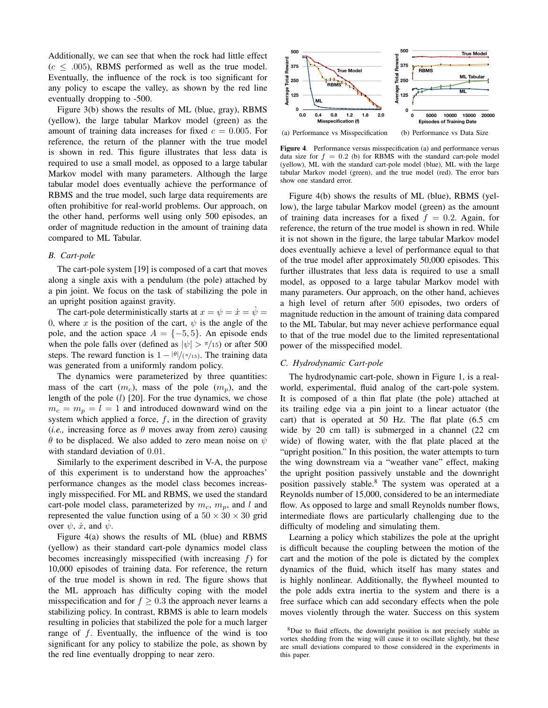Additionally, we can see that when the rock had little effect  $(c \le .005)$ , RBMS performed as well as the true model. Eventually, the influence of the rock is too significant for any policy to escape the valley, as shown by the red line eventually dropping to -500.

Figure 3(b) shows the results of ML (blue, gray), RBMS (yellow), the large tabular Markov model (green) as the amount of training data increases for fixed  $c = 0.005$ . For reference, the return of the planner with the true model is shown in red. This figure illustrates that less data is required to use a small model, as opposed to a large tabular Markov model with many parameters. Although the large tabular model does eventually achieve the performance of RBMS and the true model, such large data requirements are often prohibitive for real-world problems. Our approach, on the other hand, performs well using only 500 episodes, an order of magnitude reduction in the amount of training data compared to ML Tabular.

# *B. Cart-pole*

The cart-pole system [19] is composed of a cart that moves along a single axis with a pendulum (the pole) attached by a pin joint. We focus on the task of stabilizing the pole in an upright position against gravity.

The cart-pole deterministically starts at  $x = \psi = \dot{x} = \psi =$ 0, where x is the position of the cart,  $\psi$  is the angle of the pole, and the action space  $A = \{-5, 5\}$ . An episode ends when the pole falls over (defined as  $|\psi| > \pi/15$ ) or after 500 steps. The reward function is  $1 - \frac{|\theta|}{(\pi/15)}$ . The training data was generated from a uniformly random policy.

The dynamics were parameterized by three quantities: mass of the cart  $(m_c)$ , mass of the pole  $(m_p)$ , and the length of the pole  $(l)$  [20]. For the true dynamics, we chose  $m_c = m_p = l = 1$  and introduced downward wind on the system which applied a force,  $f$ , in the direction of gravity (*i.e.*, increasing force as  $\theta$  moves away from zero) causing θ to be displaced. We also added to zero mean noise on  $ψ$ with standard deviation of 0.01.

Similarly to the experiment described in V-A, the purpose of this experiment is to understand how the approaches' performance changes as the model class becomes increasingly misspecified. For ML and RBMS, we used the standard cart-pole model class, parameterized by  $m_c$ ,  $m_p$ , and l and represented the value function using of a  $50 \times 30 \times 30$  grid over  $\psi$ ,  $\dot{x}$ , and  $\dot{\psi}$ .

Figure 4(a) shows the results of ML (blue) and RBMS (yellow) as their standard cart-pole dynamics model class becomes increasingly misspecified (with increasing  $f$ ) for 10,000 episodes of training data. For reference, the return of the true model is shown in red. The figure shows that the ML approach has difficulty coping with the model misspecification and for  $f > 0.3$  the approach never learns a stabilizing policy. In contrast, RBMS is able to learn models resulting in policies that stabilized the pole for a much larger range of  $f$ . Eventually, the influence of the wind is too significant for any policy to stabilize the pole, as shown by the red line eventually dropping to near zero.



Figure 4. Performance versus misspecification (a) and performance versus data size for  $f = 0.2$  (b) for RBMS with the standard cart-pole model (yellow), ML with the standard cart-pole model (blue), ML with the large tabular Markov model (green), and the true model (red). The error bars show one standard error.

Figure 4(b) shows the results of ML (blue), RBMS (yellow), the large tabular Markov model (green) as the amount of training data increases for a fixed  $f = 0.2$ . Again, for reference, the return of the true model is shown in red. While it is not shown in the figure, the large tabular Markov model does eventually achieve a level of performance equal to that of the true model after approximately 50,000 episodes. This further illustrates that less data is required to use a small model, as opposed to a large tabular Markov model with many parameters. Our approach, on the other hand, achieves a high level of return after 500 episodes, two orders of magnitude reduction in the amount of training data compared to the ML Tabular, but may never achieve performance equal to that of the true model due to the limited representational power of the misspecified model.

# *C. Hydrodynamic Cart-pole*

The hydrodynamic cart-pole, shown in Figure 1, is a realworld, experimental, fluid analog of the cart-pole system. It is composed of a thin flat plate (the pole) attached at its trailing edge via a pin joint to a linear actuator (the cart) that is operated at 50 Hz. The flat plate (6.5 cm wide by 20 cm tall) is submerged in a channel (22 cm wide) of flowing water, with the flat plate placed at the "upright position." In this position, the water attempts to turn the wing downstream via a "weather vane" effect, making the upright position passively unstable and the downright position passively stable.<sup>8</sup> The system was operated at a Reynolds number of 15,000, considered to be an intermediate flow. As opposed to large and small Reynolds number flows, intermediate flows are particularly challenging due to the difficulty of modeling and simulating them.

Learning a policy which stabilizes the pole at the upright is difficult because the coupling between the motion of the cart and the motion of the pole is dictated by the complex dynamics of the fluid, which itself has many states and is highly nonlinear. Additionally, the flywheel mounted to the pole adds extra inertia to the system and there is a free surface which can add secondary effects when the pole moves violently through the water. Success on this system

<sup>8</sup>Due to fluid effects, the downright position is not precisely stable as vortex shedding from the wing will cause it to oscillate slightly, but these are small deviations compared to those considered in the experiments in this paper.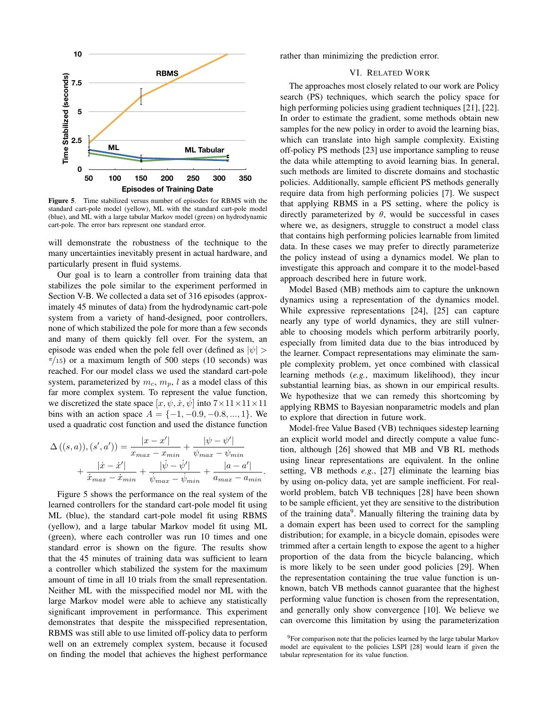

Figure 5. Time stabilized versus number of episodes for RBMS with the standard cart-pole model (yellow), ML with the standard cart-pole model (blue), and ML with a large tabular Markov model (green) on hydrodynamic cart-pole. The error bars represent one standard error.

will demonstrate the robustness of the technique to the many uncertainties inevitably present in actual hardware, and particularly present in fluid systems.

Our goal is to learn a controller from training data that stabilizes the pole similar to the experiment performed in Section V-B. We collected a data set of 316 episodes (approximately 45 minutes of data) from the hydrodynamic cart-pole system from a variety of hand-designed, poor controllers, none of which stabilized the pole for more than a few seconds and many of them quickly fell over. For the system, an episode was ended when the pole fell over (defined as  $|\psi|$ )  $\pi/15$ ) or a maximum length of 500 steps (10 seconds) was reached. For our model class we used the standard cart-pole system, parameterized by  $m_c$ ,  $m_p$ , l as a model class of this far more complex system. To represent the value function, we discretized the state space  $[x, \psi, \dot{x}, \dot{\psi}]$  into  $7 \times 11 \times 11 \times 11$ bins with an action space  $A = \{-1, -0.9, -0.8, ..., 1\}$ . We used a quadratic cost function and used the distance function

$$
\Delta ((s, a)), (s', a')) = \frac{|x - x'|}{x_{max} - x_{min}} + \frac{|\psi - \psi'|}{\psi_{max} - \psi_{min}} + \frac{|\dot{x} - \dot{x}'|}{\dot{x}_{max} - \dot{x}_{min}} + \frac{|\dot{\psi} - \dot{\psi}'|}{\dot{\psi}_{max} - \dot{\psi}_{min}} + \frac{|a - a'|}{a_{max} - a_{min}}
$$

.

Figure 5 shows the performance on the real system of the learned controllers for the standard cart-pole model fit using ML (blue), the standard cart-pole model fit using RBMS (yellow), and a large tabular Markov model fit using ML (green), where each controller was run 10 times and one standard error is shown on the figure. The results show that the 45 minutes of training data was sufficient to learn a controller which stabilized the system for the maximum amount of time in all 10 trials from the small representation. Neither ML with the misspecified model nor ML with the large Markov model were able to achieve any statistically significant improvement in performance. This experiment demonstrates that despite the misspecified representation, RBMS was still able to use limited off-policy data to perform well on an extremely complex system, because it focused on finding the model that achieves the highest performance rather than minimizing the prediction error.

# VI. RELATED WORK

The approaches most closely related to our work are Policy search (PS) techniques, which search the policy space for high performing policies using gradient techniques [21], [22]. In order to estimate the gradient, some methods obtain new samples for the new policy in order to avoid the learning bias, which can translate into high sample complexity. Existing off-policy PS methods [23] use importance sampling to reuse the data while attempting to avoid learning bias. In general, such methods are limited to discrete domains and stochastic policies. Additionally, sample efficient PS methods generally require data from high performing policies [7]. We suspect that applying RBMS in a PS setting, where the policy is directly parameterized by  $\theta$ , would be successful in cases where we, as designers, struggle to construct a model class that contains high performing policies learnable from limited data. In these cases we may prefer to directly parameterize the policy instead of using a dynamics model. We plan to investigate this approach and compare it to the model-based approach described here in future work.

Model Based (MB) methods aim to capture the unknown dynamics using a representation of the dynamics model. While expressive representations [24], [25] can capture nearly any type of world dynamics, they are still vulnerable to choosing models which perform arbitrarily poorly, especially from limited data due to the bias introduced by the learner. Compact representations may eliminate the sample complexity problem, yet once combined with classical learning methods (*e.g.*, maximum likelihood), they incur substantial learning bias, as shown in our empirical results. We hypothesize that we can remedy this shortcoming by applying RBMS to Bayesian nonparametric models and plan to explore that direction in future work.

Model-free Value Based (VB) techniques sidestep learning an explicit world model and directly compute a value function, although [26] showed that MB and VB RL methods using linear representations are equivalent. In the online setting, VB methods *e.g.*, [27] eliminate the learning bias by using on-policy data, yet are sample inefficient. For realworld problem, batch VB techniques [28] have been shown to be sample efficient, yet they are sensitive to the distribution of the training data<sup>9</sup>. Manually filtering the training data by a domain expert has been used to correct for the sampling distribution; for example, in a bicycle domain, episodes were trimmed after a certain length to expose the agent to a higher proportion of the data from the bicycle balancing, which is more likely to be seen under good policies [29]. When the representation containing the true value function is unknown, batch VB methods cannot guarantee that the highest performing value function is chosen from the representation, and generally only show convergence [10]. We believe we can overcome this limitation by using the parameterization

<sup>&</sup>lt;sup>9</sup>For comparison note that the policies learned by the large tabular Markov model are equivalent to the policies LSPI [28] would learn if given the tabular representation for its value function.